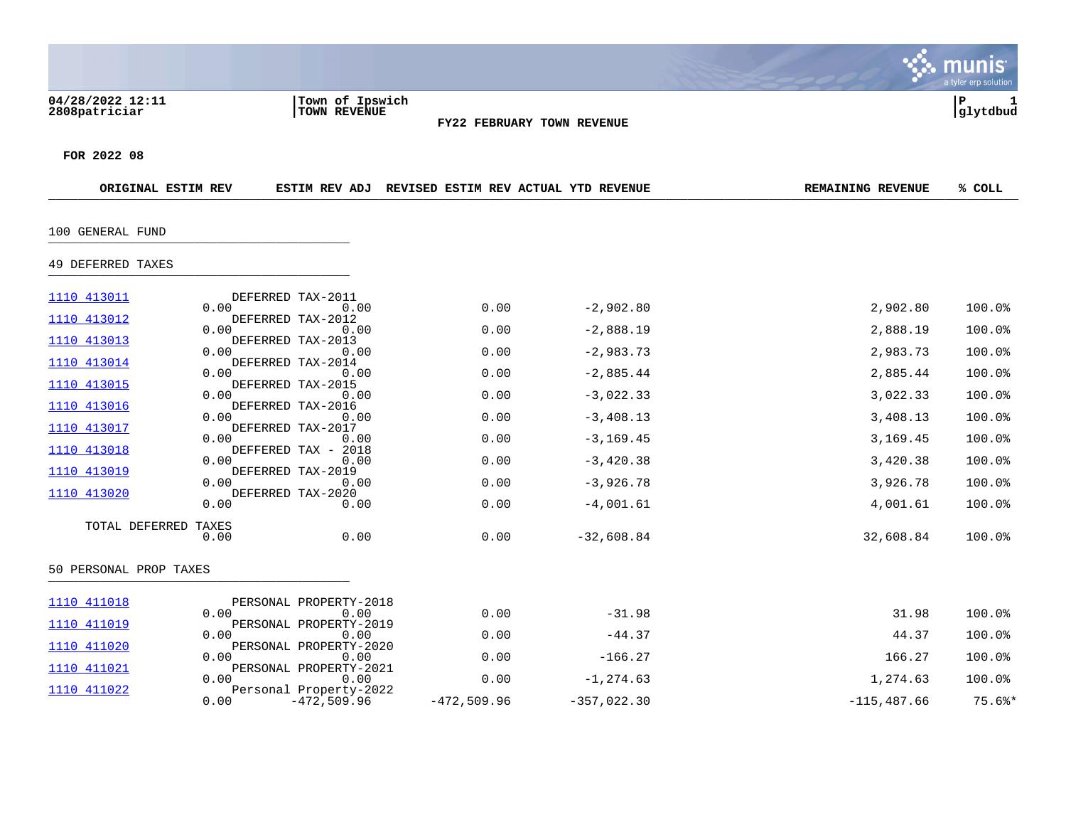|                                   |                                                 |                                                    |                            |                          | a tyler erp solution         |
|-----------------------------------|-------------------------------------------------|----------------------------------------------------|----------------------------|--------------------------|------------------------------|
| 04/28/2022 12:11<br>2808patriciar | Town of Ipswich<br>TOWN REVENUE                 |                                                    | FY22 FEBRUARY TOWN REVENUE |                          | $\mathbf P$<br>1<br>glytdbud |
| FOR 2022 08                       |                                                 |                                                    |                            |                          |                              |
| ORIGINAL ESTIM REV                |                                                 | ESTIM REV ADJ REVISED ESTIM REV ACTUAL YTD REVENUE |                            | <b>REMAINING REVENUE</b> | % COLL                       |
| 100 GENERAL FUND                  |                                                 |                                                    |                            |                          |                              |
| 49 DEFERRED TAXES                 |                                                 |                                                    |                            |                          |                              |
| 1110 413011                       | DEFERRED TAX-2011<br>0.00<br>0.00               | 0.00                                               | $-2,902.80$                | 2,902.80                 | 100.0%                       |
| 1110 413012                       | DEFERRED TAX-2012<br>0.00<br>0.00               | 0.00                                               | $-2,888.19$                | 2,888.19                 | 100.0%                       |
| 1110 413013                       | DEFERRED TAX-2013<br>0.00<br>0.00               | 0.00                                               | $-2,983.73$                | 2,983.73                 | 100.0%                       |
| 1110 413014                       | DEFERRED TAX-2014<br>0.00<br>0.00               | 0.00                                               | $-2,885.44$                | 2,885.44                 | 100.0%                       |
| <u>1110 413015</u>                | DEFERRED TAX-2015<br>0.00<br>0.00               | 0.00                                               | $-3,022.33$                | 3,022.33                 | 100.0%                       |
| 1110 413016                       | DEFERRED TAX-2016<br>0.00<br>0.00               | 0.00                                               | $-3,408.13$                | 3,408.13                 | 100.0%                       |
| 1110 413017                       | DEFERRED TAX-2017<br>0.00<br>0.00               | 0.00                                               | $-3, 169.45$               | 3,169.45                 | 100.0%                       |
| 1110 413018                       | DEFFERED TAX - 2018<br>0.00<br>0.00             | 0.00                                               |                            |                          | 100.0%                       |
| 1110 413019                       | DEFERRED TAX-2019                               |                                                    | $-3,420.38$                | 3,420.38                 |                              |
| 1110 413020                       | 0.00<br>0.00<br>DEFERRED TAX-2020               | 0.00                                               | $-3,926.78$                | 3,926.78                 | 100.0%                       |
|                                   | 0.00<br>0.00                                    | 0.00                                               | $-4,001.61$                | 4,001.61                 | 100.0%                       |
| TOTAL DEFERRED TAXES              | 0.00<br>0.00                                    | 0.00                                               | $-32,608.84$               | 32,608.84                | 100.0%                       |
| 50 PERSONAL PROP TAXES            |                                                 |                                                    |                            |                          |                              |
| 1110 411018                       | PERSONAL PROPERTY-2018                          |                                                    |                            |                          |                              |
| 1110 411019                       | 0.00<br>0.00<br>PERSONAL PROPERTY-2019          | 0.00                                               | $-31.98$                   | 31.98                    | 100.0%                       |
| 1110 411020                       | 0.00<br>0.00<br>PERSONAL PROPERTY-2020          | 0.00                                               | $-44.37$                   | 44.37                    | 100.0%                       |
| 1110 411021                       | 0.00<br>0.00<br>PERSONAL PROPERTY-2021          | 0.00                                               | $-166.27$                  | 166.27                   | 100.0%                       |
| 1110 411022                       | 0.00<br>0.00                                    | 0.00                                               | $-1, 274.63$               | 1,274.63                 | 100.0%                       |
|                                   | Personal Property-2022<br>0.00<br>$-472,509.96$ | $-472,509.96$                                      | $-357,022.30$              | $-115,487.66$            | $75.6$ $*$                   |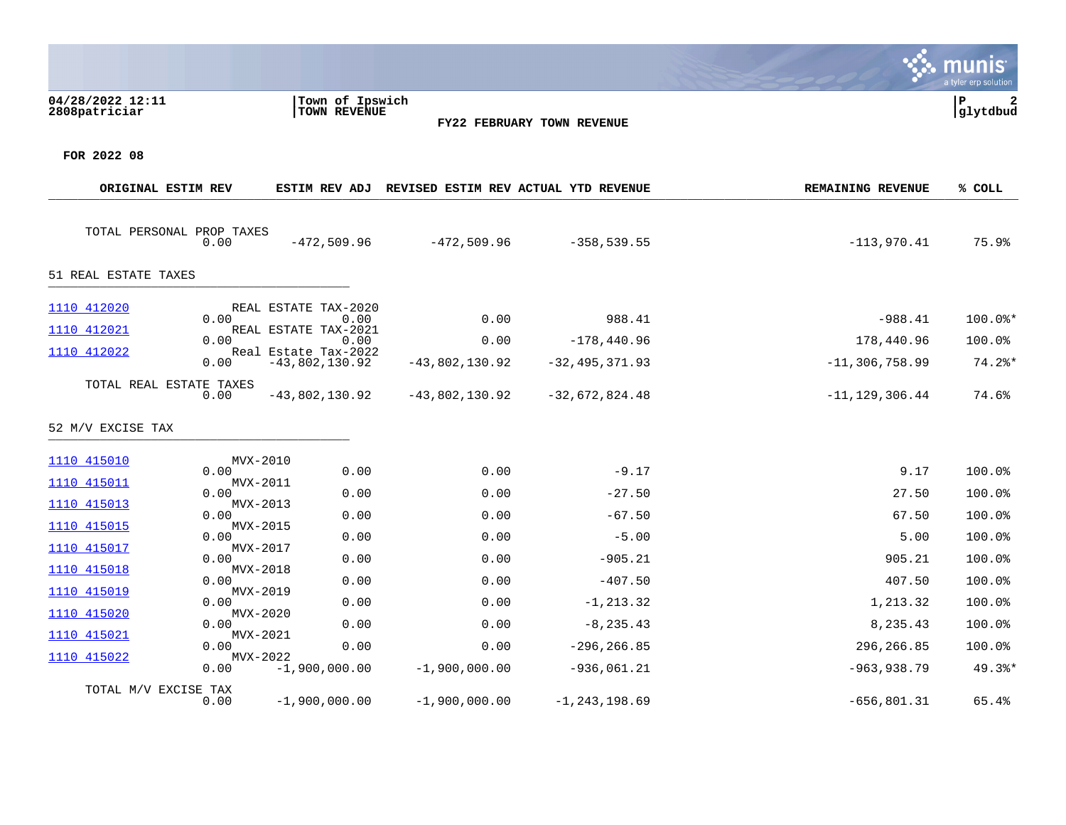|                                              |                                                      |                                        |                                      |                                                    |                                          | a tyler erp solution |
|----------------------------------------------|------------------------------------------------------|----------------------------------------|--------------------------------------|----------------------------------------------------|------------------------------------------|----------------------|
| 04/28/2022 12:11<br>2808patriciar            |                                                      | Town of Ipswich<br><b>TOWN REVENUE</b> |                                      | FY22 FEBRUARY TOWN REVENUE                         |                                          | P<br>2<br>glytdbud   |
| FOR 2022 08                                  |                                                      |                                        |                                      |                                                    |                                          |                      |
| ORIGINAL ESTIM REV                           |                                                      |                                        |                                      | ESTIM REV ADJ REVISED ESTIM REV ACTUAL YTD REVENUE | <b>REMAINING REVENUE</b>                 | % COLL               |
| TOTAL PERSONAL PROP TAXES                    | 0.00<br>$-472,509.96$                                |                                        | $-472,509.96$                        | $-358,539.55$                                      | $-113,970.41$                            | 75.9%                |
| 51 REAL ESTATE TAXES                         |                                                      |                                        |                                      |                                                    |                                          |                      |
| 1110 412020<br>1110 412021                   | REAL ESTATE TAX-2020<br>0.00<br>REAL ESTATE TAX-2021 | 0.00                                   | 0.00                                 | 988.41                                             | $-988.41$                                | $100.0$ *            |
| 1110 412022                                  | 0.00<br>Real Estate Tax-2022                         | 0.00                                   | 0.00                                 | $-178,440.96$                                      | 178,440.96                               | 100.0%               |
| TOTAL REAL ESTATE TAXES<br>52 M/V EXCISE TAX | 0.00<br>$-43,802,130.92$<br>0.00<br>$-43,802,130.92$ |                                        | $-43,802,130.92$<br>$-43,802,130.92$ | $-32, 495, 371.93$<br>$-32,672,824.48$             | $-11, 306, 758.99$<br>$-11, 129, 306.44$ | $74.2$ $*$<br>74.6%  |
| 1110 415010                                  | MVX-2010                                             |                                        |                                      |                                                    |                                          |                      |
| <u>1110 415011</u>                           | 0.00<br>MVX-2011<br>0.00                             | 0.00<br>0.00                           | 0.00<br>0.00                         | $-9.17$<br>$-27.50$                                | 9.17<br>27.50                            | 100.0%<br>100.0%     |
| 1110 415013                                  | MVX-2013<br>0.00                                     | 0.00                                   | 0.00                                 | $-67.50$                                           | 67.50                                    | 100.0%               |
| 1110 415015                                  | MVX-2015<br>0.00                                     | 0.00                                   | 0.00                                 | $-5.00$                                            | 5.00                                     | 100.0%               |
| 1110 415017                                  | MVX-2017<br>0.00                                     | 0.00                                   | 0.00                                 | $-905.21$                                          | 905.21                                   | 100.0%               |
| 1110 415018                                  | MVX-2018<br>0.00                                     | 0.00                                   | 0.00                                 | $-407.50$                                          | 407.50                                   | 100.0%               |
| 1110 415019                                  | MVX-2019<br>0.00                                     | 0.00                                   | 0.00                                 | $-1, 213.32$                                       | 1,213.32                                 | 100.0%               |
| 1110 415020                                  | MVX-2020<br>0.00                                     | 0.00                                   | 0.00                                 | $-8, 235.43$                                       | 8,235.43                                 | 100.0%               |
| 1110 415021                                  | MVX-2021<br>0.00                                     | 0.00                                   | 0.00                                 | $-296, 266.85$                                     | 296,266.85                               | 100.0%               |
| 1110 415022                                  | MVX-2022<br>$-1,900,000.00$<br>0.00                  |                                        | $-1,900,000.00$                      | $-936,061.21$                                      | $-963,938.79$                            | $49.3$ <sup>*</sup>  |
| TOTAL M/V EXCISE TAX                         | 0.00<br>$-1,900,000.00$                              |                                        | $-1,900,000.00$                      | $-1, 243, 198.69$                                  | $-656, 801.31$                           | 65.4%                |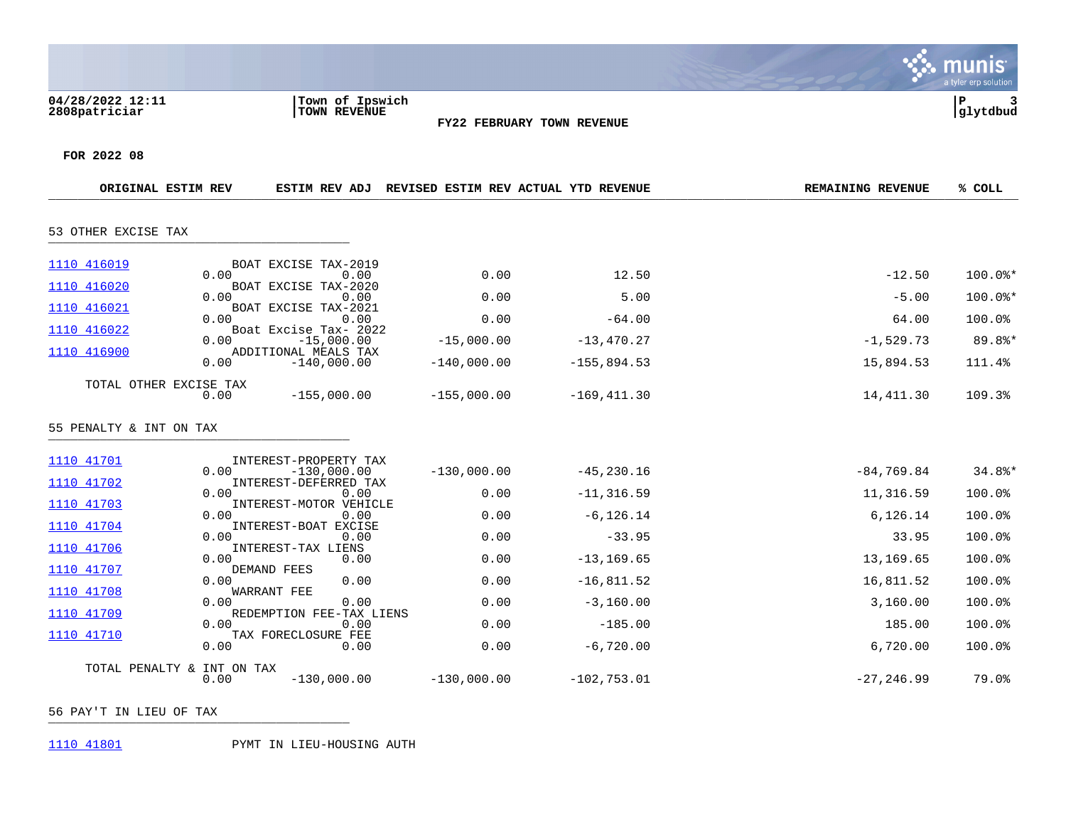|                                   |                                                    |               |                            |                          | IIS<br>a tyler erp solution |
|-----------------------------------|----------------------------------------------------|---------------|----------------------------|--------------------------|-----------------------------|
| 04/28/2022 12:11<br>2808patriciar | Town of Ipswich<br>TOWN REVENUE                    |               | FY22 FEBRUARY TOWN REVENUE |                          | ${\bf P}$<br>3<br>glytdbud  |
| FOR 2022 08                       |                                                    |               |                            |                          |                             |
| ORIGINAL ESTIM REV                | ESTIM REV ADJ REVISED ESTIM REV ACTUAL YTD REVENUE |               |                            | <b>REMAINING REVENUE</b> | % COLL                      |
| 53 OTHER EXCISE TAX               |                                                    |               |                            |                          |                             |
| 1110 416019                       | BOAT EXCISE TAX-2019<br>0.00<br>0.00               | 0.00          | 12.50                      | $-12.50$                 | 100.0%*                     |
| 1110 416020                       | BOAT EXCISE TAX-2020<br>0.00<br>0.00               | 0.00          | 5.00                       | $-5.00$                  | $100.0$ *                   |
| 1110 416021                       | BOAT EXCISE TAX-2021<br>0.00<br>0.00               | 0.00          | $-64.00$                   | 64.00                    | 100.0%                      |
| 1110 416022                       | Boat Excise Tax- 2022<br>$-15,000.00$<br>0.00      | $-15,000.00$  | $-13,470.27$               | $-1,529.73$              | $89.8$ *                    |
| 1110 416900                       | ADDITIONAL MEALS TAX<br>0.00<br>$-140,000.00$      | $-140,000.00$ | $-155,894.53$              | 15,894.53                | 111.4%                      |
| TOTAL OTHER EXCISE TAX            | 0.00<br>$-155,000.00$                              | $-155,000.00$ | $-169, 411.30$             | 14,411.30                | 109.3%                      |
| 55 PENALTY & INT ON TAX           |                                                    |               |                            |                          |                             |
| 1110 41701                        | INTEREST-PROPERTY TAX<br>0.00<br>$-130.000.00$     | $-130,000.00$ | $-45, 230.16$              | $-84, 769.84$            | $34.8$ *                    |
| 1110 41702                        | INTEREST-DEFERRED TAX<br>0.00<br>0.00              | 0.00          | $-11, 316.59$              | 11,316.59                | 100.0%                      |
| 1110 41703                        | INTEREST-MOTOR VEHICLE<br>0.00<br>0.00             | 0.00          | $-6, 126.14$               | 6,126.14                 | 100.0%                      |
| 1110 41704                        | INTEREST-BOAT EXCISE<br>0.00<br>0.00               | 0.00          | $-33.95$                   | 33.95                    | 100.0%                      |
| 1110 41706                        | INTEREST-TAX LIENS<br>0.00<br>0.00                 | 0.00          | $-13, 169.65$              | 13,169.65                | 100.0%                      |
| 1110 41707                        | DEMAND FEES<br>0.00<br>0.00                        | 0.00          | $-16,811.52$               | 16,811.52                | 100.0%                      |
| 1110 41708                        | WARRANT FEE<br>0.00<br>0.00                        | 0.00          | $-3,160.00$                | 3,160.00                 | 100.0%                      |
| 1110 41709                        | REDEMPTION FEE-TAX LIENS<br>0.00<br>0.00           | 0.00          | $-185.00$                  | 185.00                   | 100.0%                      |
| 1110 41710                        | TAX FORECLOSURE FEE<br>0.00<br>0.00                | 0.00          | $-6,720.00$                | 6,720.00                 | 100.0%                      |
| TOTAL PENALTY & INT ON TAX        | 0.00<br>$-130,000.00$                              | $-130,000.00$ | $-102, 753.01$             | $-27, 246.99$            | 79.0%                       |

 $\mathcal{L}$ 

56 PAY'T IN LIEU OF TAX \_\_\_\_\_\_\_\_\_\_\_\_\_\_\_\_\_\_\_\_\_\_\_\_\_\_\_\_\_\_\_\_\_\_\_\_\_\_\_\_\_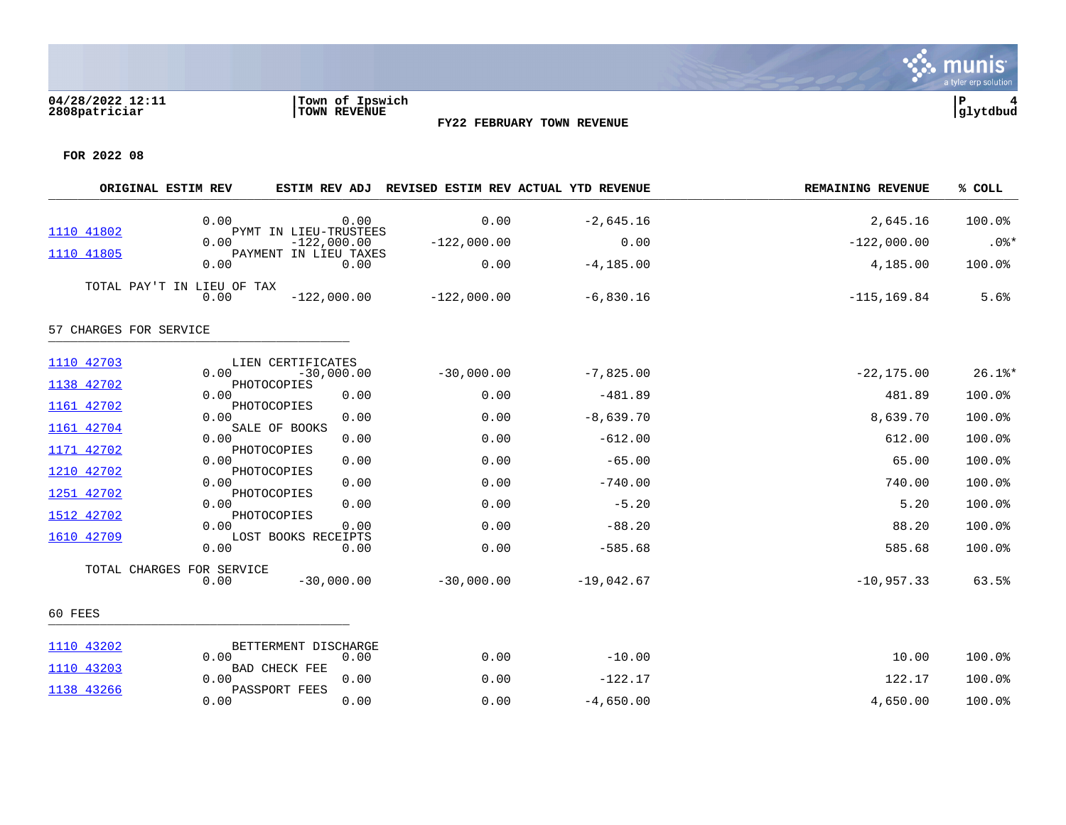

a tyler erp solution

| ORIGINAL ESTIM REV         |      |                                                  |               | ESTIM REV ADJ REVISED ESTIM REV ACTUAL YTD REVENUE | REMAINING REVENUE | % COLL    |
|----------------------------|------|--------------------------------------------------|---------------|----------------------------------------------------|-------------------|-----------|
| 1110 41802                 | 0.00 | 0.00<br>PYMT IN LIEU-TRUSTEES                    | 0.00          | $-2,645.16$                                        | 2,645.16          | 100.0%    |
|                            | 0.00 | $-122,000.00$<br>PAYMENT IN LIEU TAXES           | $-122,000.00$ | 0.00                                               | $-122,000.00$     | $.0$ %*   |
| 1110 41805                 | 0.00 | 0.00                                             | 0.00          | $-4, 185.00$                                       | 4,185.00          | 100.0%    |
| TOTAL PAY'T IN LIEU OF TAX | 0.00 | $-122,000.00$                                    | $-122,000.00$ | $-6,830.16$                                        | $-115, 169.84$    | 5.6%      |
| 57 CHARGES FOR SERVICE     |      |                                                  |               |                                                    |                   |           |
| 1110 42703<br>1138 42702   | 0.00 | LIEN CERTIFICATES<br>$-30,000.00$<br>PHOTOCOPIES | $-30,000.00$  | $-7,825.00$                                        | $-22, 175.00$     | $26.1$ %* |
| 1161 42702                 | 0.00 | 0.00<br>PHOTOCOPIES                              | 0.00          | $-481.89$                                          | 481.89            | 100.0%    |
|                            | 0.00 | 0.00<br>SALE OF BOOKS                            | 0.00          | $-8,639.70$                                        | 8,639.70          | 100.0%    |
| 1161 42704                 | 0.00 | 0.00                                             | 0.00          | $-612.00$                                          | 612.00            | 100.0%    |
| 1171 42702                 | 0.00 | PHOTOCOPIES<br>0.00                              | 0.00          | $-65.00$                                           | 65.00             | 100.0%    |
| 1210 42702                 | 0.00 | PHOTOCOPIES<br>0.00                              | 0.00          | $-740.00$                                          | 740.00            | 100.0%    |
| 1251 42702                 | 0.00 | PHOTOCOPIES<br>0.00                              | 0.00          | $-5.20$                                            | 5.20              | 100.0%    |
| 1512 42702                 | 0.00 | PHOTOCOPIES<br>0.00                              | 0.00          | $-88.20$                                           | 88.20             | 100.0%    |
| 1610 42709                 | 0.00 | LOST BOOKS RECEIPTS<br>0.00                      | 0.00          | $-585.68$                                          | 585.68            | 100.0%    |
| TOTAL CHARGES FOR SERVICE  | 0.00 | $-30,000.00$                                     | $-30,000.00$  | $-19,042.67$                                       | $-10, 957.33$     | 63.5%     |
| 60 FEES                    |      |                                                  |               |                                                    |                   |           |
| 1110 43202                 | 0.00 | BETTERMENT DISCHARGE<br>0.00                     | 0.00          | $-10.00$                                           | 10.00             | 100.0%    |
| 1110 43203                 | 0.00 | <b>BAD CHECK FEE</b><br>0.00                     | 0.00          | $-122.17$                                          | 122.17            | 100.0%    |
| 1138 43266                 | 0.00 | PASSPORT FEES<br>0.00                            | 0.00          | $-4,650.00$                                        | 4,650.00          | 100.0%    |
|                            |      |                                                  |               |                                                    |                   |           |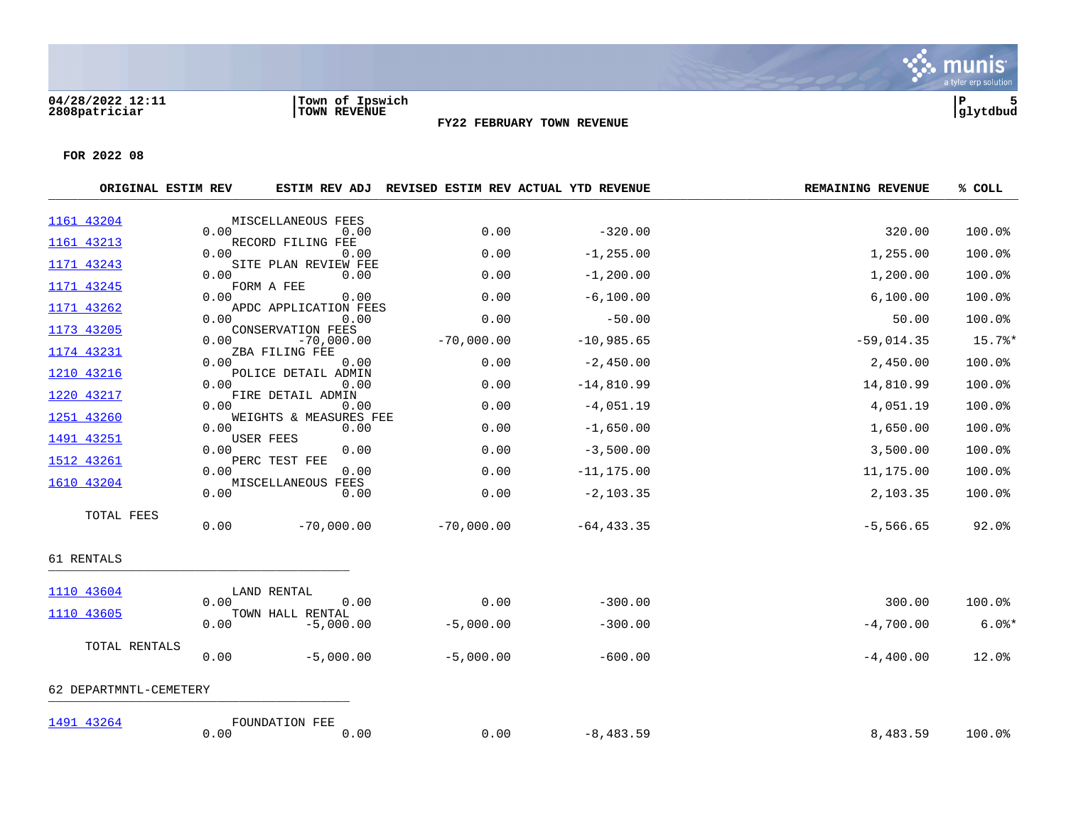

| ORIGINAL ESTIM REV     |      |                                   | ESTIM REV ADJ REVISED ESTIM REV ACTUAL YTD REVENUE |               | <b>REMAINING REVENUE</b> | % COLL    |
|------------------------|------|-----------------------------------|----------------------------------------------------|---------------|--------------------------|-----------|
| 1161 43204             |      | MISCELLANEOUS FEES                |                                                    |               |                          |           |
| 1161 43213             | 0.00 | 0.00<br>RECORD FILING FEE         | 0.00                                               | $-320.00$     | 320.00                   | 100.0%    |
|                        | 0.00 | 0.00                              | 0.00                                               | $-1, 255.00$  | 1,255.00                 | 100.0%    |
| 1171 43243             | 0.00 | SITE PLAN REVIEW FEE<br>0.00      | 0.00                                               | $-1, 200.00$  | 1,200.00                 | 100.0%    |
| 1171 43245             | 0.00 | FORM A FEE<br>0.00                | 0.00                                               | $-6,100.00$   | 6,100.00                 | 100.0%    |
| 1171 43262             | 0.00 | APDC APPLICATION FEES<br>0.00     | 0.00                                               | $-50.00$      | 50.00                    | 100.0%    |
| 1173 43205             | 0.00 | CONSERVATION FEES<br>$-70,000.00$ | $-70,000.00$                                       | $-10,985.65$  | $-59,014.35$             | 15.7%*    |
| 1174 43231             | 0.00 | ZBA FILING FEE<br>0.00            | 0.00                                               | $-2,450.00$   | 2,450.00                 | 100.0%    |
| 1210 43216             | 0.00 | POLICE DETAIL ADMIN<br>0.00       | 0.00                                               | $-14,810.99$  | 14,810.99                | 100.0%    |
| 1220 43217             | 0.00 | FIRE DETAIL ADMIN<br>0.00         | 0.00                                               | $-4,051.19$   | 4,051.19                 | 100.0%    |
| 1251 43260             | 0.00 | WEIGHTS & MEASURES FEE<br>0.00    | 0.00                                               | $-1,650.00$   | 1,650.00                 | 100.0%    |
| 1491 43251             | 0.00 | USER FEES<br>0.00                 | 0.00                                               | $-3,500.00$   | 3,500.00                 | 100.0%    |
| 1512 43261             | 0.00 | PERC TEST FEE<br>0.00             | 0.00                                               | $-11, 175.00$ | 11,175.00                | 100.0%    |
| 1610 43204             |      | MISCELLANEOUS FEES                |                                                    |               |                          |           |
|                        | 0.00 | 0.00                              | 0.00                                               | $-2, 103.35$  | 2,103.35                 | 100.0%    |
| TOTAL FEES             | 0.00 | $-70,000.00$                      | $-70,000.00$                                       | $-64, 433.35$ | $-5,566.65$              | 92.0%     |
| 61 RENTALS             |      |                                   |                                                    |               |                          |           |
| 1110 43604             |      | LAND RENTAL                       |                                                    |               |                          |           |
| 1110 43605             | 0.00 | 0.00<br>TOWN HALL RENTAL          | 0.00                                               | $-300.00$     | 300.00                   | 100.0%    |
|                        | 0.00 | $-5,000.00$                       | $-5,000.00$                                        | $-300.00$     | $-4,700.00$              | $6.0$ $*$ |
| TOTAL RENTALS          | 0.00 | $-5,000.00$                       | $-5,000.00$                                        | $-600.00$     | $-4,400.00$              | 12.0%     |
| 62 DEPARTMNTL-CEMETERY |      |                                   |                                                    |               |                          |           |
| 1491 43264             | 0.00 | FOUNDATION FEE<br>0.00            | 0.00                                               | $-8,483.59$   | 8,483.59                 | 100.0%    |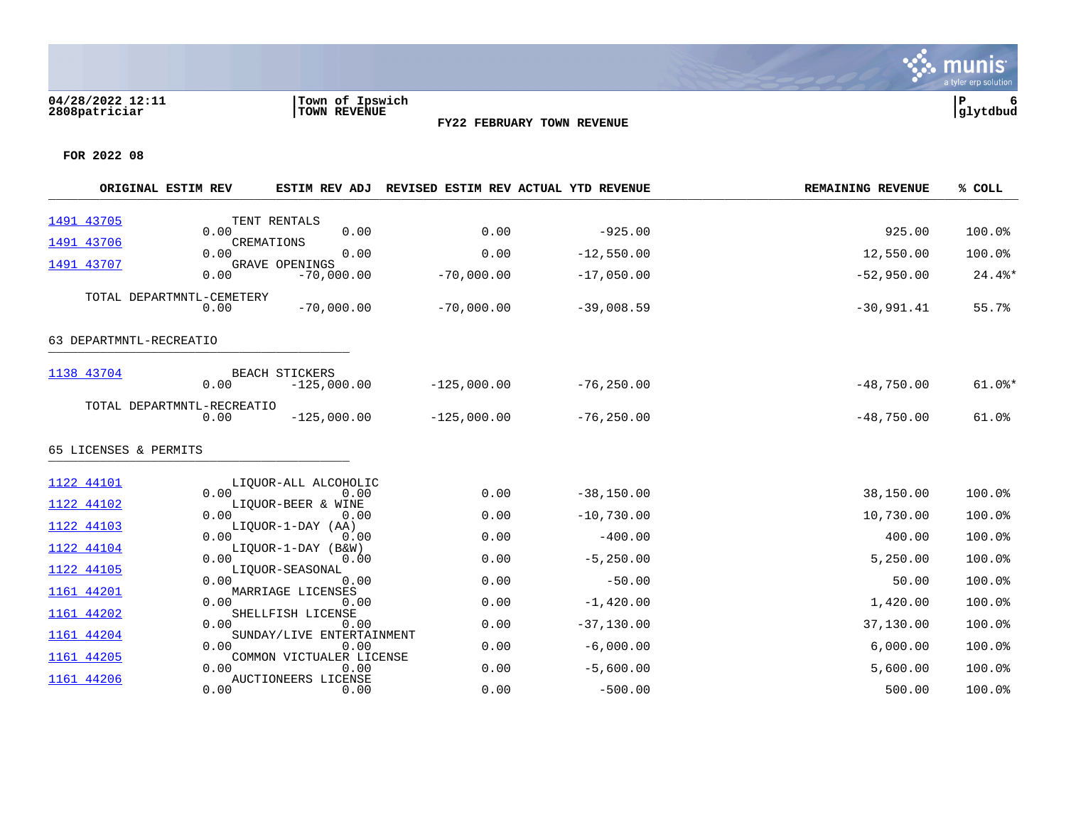|                         | ORIGINAL ESTIM REV                 | ESTIM REV ADJ                          |               | REVISED ESTIM REV ACTUAL YTD REVENUE | <b>REMAINING REVENUE</b> | % COLL    |
|-------------------------|------------------------------------|----------------------------------------|---------------|--------------------------------------|--------------------------|-----------|
| 1491 43705              |                                    | TENT RENTALS                           |               |                                      |                          |           |
| 1491 43706              | 0.00                               | 0.00<br>CREMATIONS                     | 0.00          | $-925.00$                            | 925.00                   | 100.0%    |
|                         | 0.00                               | 0.00                                   | 0.00          | $-12,550.00$                         | 12,550.00                | 100.0%    |
| 1491 43707              | 0.00                               | <b>GRAVE OPENINGS</b><br>$-70,000.00$  | $-70,000.00$  | $-17,050.00$                         | $-52,950.00$             | $24.4$ %* |
|                         | TOTAL DEPARTMNTL-CEMETERY<br>0.00  | $-70,000.00$                           | $-70,000.00$  | $-39,008.59$                         | $-30,991.41$             | 55.7%     |
| 63 DEPARTMNTL-RECREATIO |                                    |                                        |               |                                      |                          |           |
| 1138 43704              | 0.00                               | <b>BEACH STICKERS</b><br>$-125,000.00$ | $-125,000.00$ | $-76, 250.00$                        | $-48,750.00$             | $61.0$ %* |
|                         | TOTAL DEPARTMNTL-RECREATIO<br>0.00 | $-125,000.00$                          | $-125,000.00$ | $-76, 250.00$                        | $-48,750.00$             | 61.0%     |
| 65 LICENSES & PERMITS   |                                    |                                        |               |                                      |                          |           |
| 1122 44101              |                                    | LIOUOR-ALL ALCOHOLIC                   |               |                                      |                          |           |
| 1122 44102              | 0.00                               | 0.00<br>LIQUOR-BEER & WINE             | 0.00          | $-38, 150.00$                        | 38,150.00                | 100.0%    |
| 1122 44103              | 0.00                               | 0.00<br>LIOUOR-1-DAY (AA)              | 0.00          | $-10,730.00$                         | 10,730.00                | 100.0%    |
|                         | 0.00                               | 0.00                                   | 0.00          | $-400.00$                            | 400.00                   | 100.0%    |
| 1122 44104              | 0.00                               | LIQUOR-1-DAY (B&W)<br>0.00             | 0.00          | $-5, 250.00$                         | 5,250.00                 | 100.0%    |
| 1122 44105              | 0.00                               | LIQUOR-SEASONAL<br>0.00                | 0.00          | $-50.00$                             | 50.00                    | 100.0%    |
| 1161 44201              | 0.00                               | MARRIAGE LICENSES                      |               |                                      |                          | 100.0%    |
| 1161 44202              |                                    | 0.00<br>SHELLFISH LICENSE              | 0.00          | $-1,420.00$                          | 1,420.00                 |           |
| 1161 44204              | 0.00                               | 0.00<br>SUNDAY/LIVE ENTERTAINMENT      | 0.00          | $-37, 130.00$                        | 37,130.00                | 100.0%    |
| 1161 44205              | 0.00                               | 0.00<br>COMMON VICTUALER LICENSE       | 0.00          | $-6,000.00$                          | 6,000.00                 | 100.0%    |
|                         | 0.00                               | 0.00                                   | 0.00          | $-5,600.00$                          | 5,600.00                 | 100.0%    |
| 1161 44206              | 0.00                               | AUCTIONEERS LICENSE<br>0.00            | 0.00          | $-500.00$                            | 500.00                   | 100.0%    |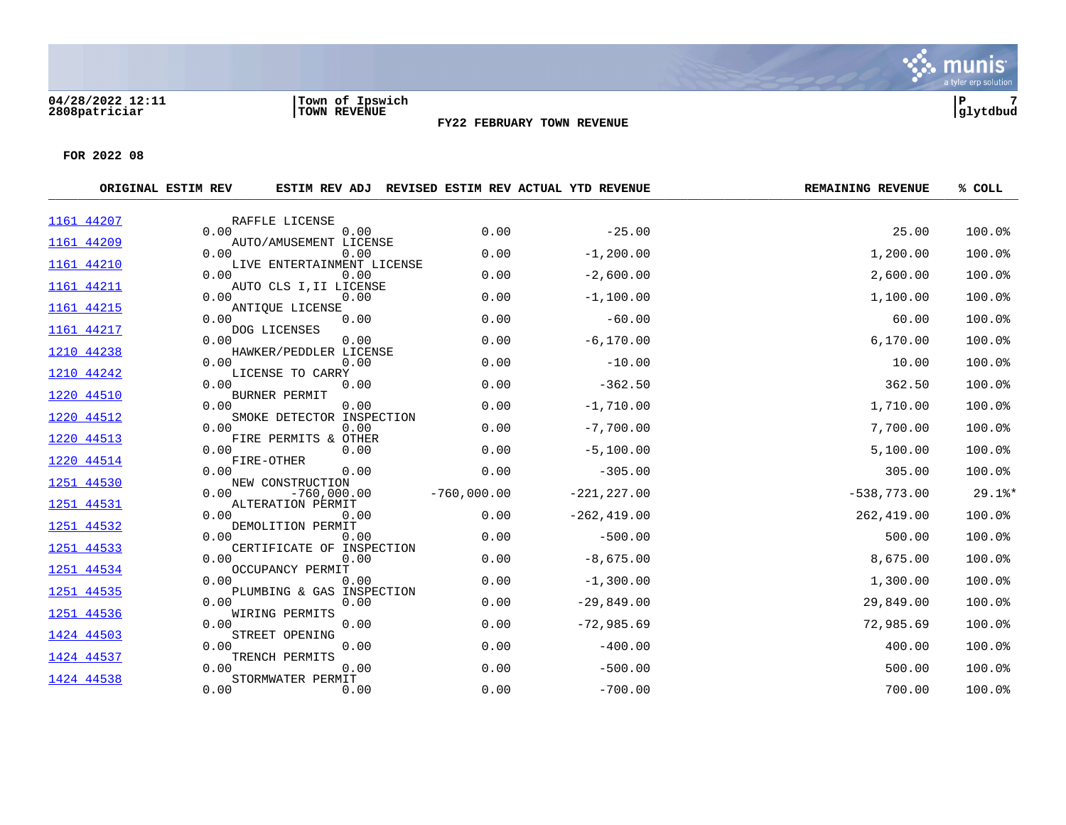

|            | ORIGINAL ESTIM REV |                                    |               | ESTIM REV ADJ REVISED ESTIM REV ACTUAL YTD REVENUE | <b>REMAINING REVENUE</b> | % COLL    |
|------------|--------------------|------------------------------------|---------------|----------------------------------------------------|--------------------------|-----------|
| 1161 44207 |                    | RAFFLE LICENSE                     |               |                                                    |                          |           |
| 1161 44209 | 0.00               | 0.00<br>AUTO/AMUSEMENT LICENSE     | 0.00          | $-25.00$                                           | 25.00                    | 100.0%    |
|            | 0.00               | 0.00                               | 0.00          | $-1, 200.00$                                       | 1,200.00                 | 100.0%    |
| 1161 44210 | 0.00               | LIVE ENTERTAINMENT LICENSE<br>0.00 | 0.00          | $-2,600.00$                                        | 2,600.00                 | 100.0%    |
| 1161 44211 | 0.00               | AUTO CLS I, II LICENSE<br>0.00     | 0.00          | $-1,100.00$                                        | 1,100.00                 | 100.0%    |
| 1161 44215 |                    | ANTIQUE LICENSE                    |               |                                                    |                          |           |
| 1161 44217 | 0.00               | 0.00<br>DOG LICENSES               | 0.00          | $-60.00$                                           | 60.00                    | 100.0%    |
|            | 0.00               | 0.00                               | 0.00          | $-6, 170.00$                                       | 6, 170.00                | 100.0%    |
| 1210 44238 | 0.00               | HAWKER/PEDDLER LICENSE<br>0.00     | 0.00          | $-10.00$                                           | 10.00                    | 100.0%    |
| 1210 44242 |                    | LICENSE TO CARRY                   |               |                                                    |                          |           |
| 1220 44510 | 0.00               | 0.00<br><b>BURNER PERMIT</b>       | 0.00          | $-362.50$                                          | 362.50                   | 100.0%    |
|            | 0.00               | 0.00                               | 0.00          | $-1,710.00$                                        | 1,710.00                 | 100.0%    |
| 1220 44512 | 0.00               | SMOKE DETECTOR INSPECTION<br>0.00  | 0.00          | $-7,700.00$                                        | 7,700.00                 | 100.0%    |
| 1220 44513 | 0.00               | FIRE PERMITS & OTHER<br>0.00       | 0.00          | $-5,100.00$                                        | 5,100.00                 | 100.0%    |
| 1220 44514 |                    | FIRE-OTHER                         |               |                                                    |                          |           |
| 1251 44530 | 0.00               | 0.00<br>NEW CONSTRUCTION           | 0.00          | $-305.00$                                          | 305.00                   | 100.0%    |
|            | 0.00               | $-760,000.00$                      | $-760,000.00$ | $-221, 227.00$                                     | $-538,773.00$            | $29.1$ %* |
| 1251 44531 | 0.00               | ALTERATION PERMIT<br>0.00          | 0.00          | $-262, 419.00$                                     | 262,419.00               | 100.0%    |
| 1251 44532 |                    | DEMOLITION PERMIT                  |               |                                                    |                          |           |
| 1251 44533 | 0.00               | 0.00<br>CERTIFICATE OF INSPECTION  | 0.00          | $-500.00$                                          | 500.00                   | 100.0%    |
|            | 0.00               | 0.00                               | 0.00          | $-8,675.00$                                        | 8,675.00                 | 100.0%    |
| 1251 44534 | 0.00               | OCCUPANCY PERMIT<br>0.00           | 0.00          | $-1,300.00$                                        | 1,300.00                 | 100.0%    |
| 1251 44535 |                    | PLUMBING & GAS INSPECTION          |               |                                                    |                          |           |
| 1251 44536 | 0.00               | 0.00<br>WIRING PERMITS             | 0.00          | $-29,849.00$                                       | 29,849.00                | 100.0%    |
|            | 0.00               | 0.00                               | 0.00          | $-72,985.69$                                       | 72,985.69                | 100.0%    |
| 1424 44503 | 0.00               | STREET OPENING<br>0.00             | 0.00          | $-400.00$                                          | 400.00                   | 100.0%    |
| 1424 44537 |                    | TRENCH PERMITS                     |               |                                                    |                          |           |
| 1424 44538 | 0.00               | 0.00<br>STORMWATER PERMIT          | 0.00          | $-500.00$                                          | 500.00                   | 100.0%    |
|            | 0.00               | 0.00                               | 0.00          | $-700.00$                                          | 700.00                   | 100.0%    |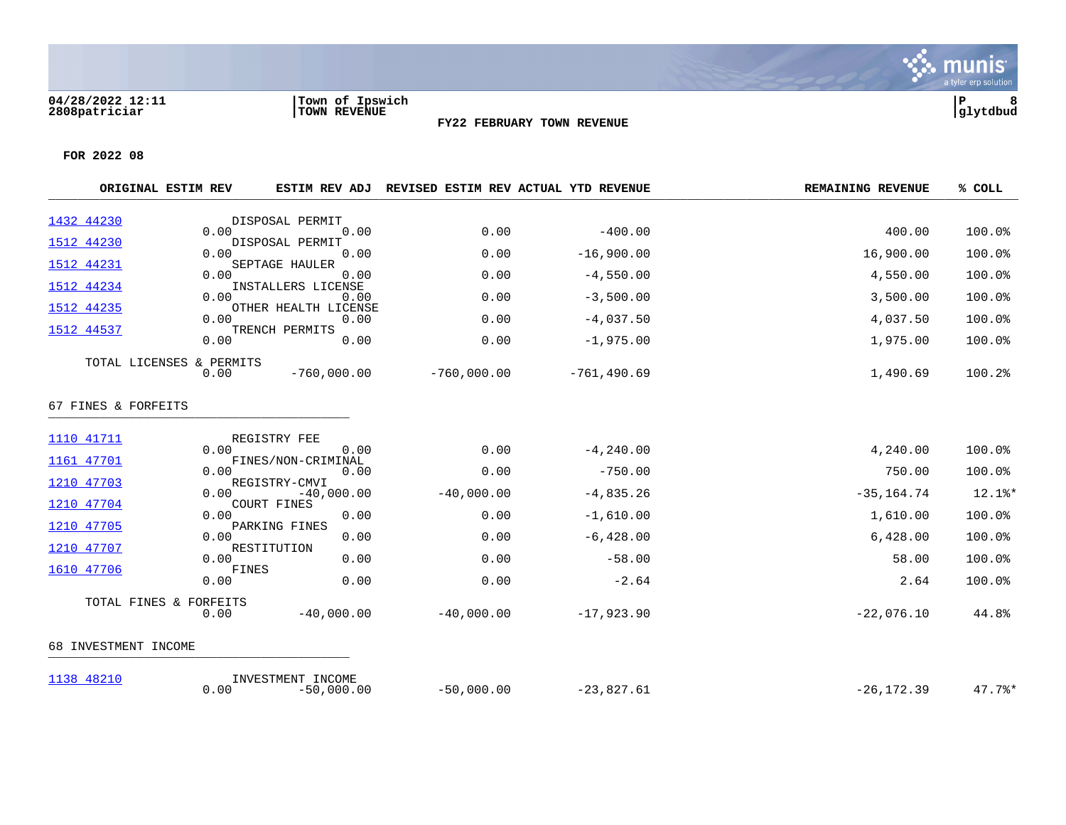

|                      | ORIGINAL ESTIM REV               | <b>ESTIM REV ADJ</b>              | <b>REVISED ESTIM REV ACTUAL YTD REVENUE</b> |                | <b>REMAINING REVENUE</b> | % COLL |
|----------------------|----------------------------------|-----------------------------------|---------------------------------------------|----------------|--------------------------|--------|
| 1432 44230           |                                  | DISPOSAL PERMIT                   |                                             |                |                          |        |
| 1512 44230           | 0.00                             | 0.00<br>DISPOSAL PERMIT           | 0.00                                        | $-400.00$      | 400.00                   | 100.0% |
|                      | 0.00                             | 0.00                              | 0.00                                        | $-16,900.00$   | 16,900.00                | 100.0% |
| 1512 44231           | 0.00                             | SEPTAGE HAULER<br>0.00            | 0.00                                        | $-4,550.00$    | 4,550.00                 | 100.0% |
| 1512 44234           | 0.00                             | INSTALLERS LICENSE<br>0.00        | 0.00                                        | $-3,500.00$    | 3,500.00                 | 100.0% |
| 1512 44235           | 0.00                             | OTHER HEALTH LICENSE<br>0.00      | 0.00                                        | $-4,037.50$    | 4,037.50                 | 100.0% |
| 1512 44537           | 0.00                             | TRENCH PERMITS<br>0.00            | 0.00                                        | $-1,975.00$    | 1,975.00                 | 100.0% |
|                      | TOTAL LICENSES & PERMITS<br>0.00 | $-760,000.00$                     | $-760,000.00$                               | $-761, 490.69$ | 1,490.69                 | 100.2% |
| 67 FINES & FORFEITS  |                                  |                                   |                                             |                |                          |        |
| 1110 41711           | 0.00                             | REGISTRY FEE<br>0.00              | 0.00                                        | $-4, 240.00$   | 4,240.00                 | 100.0% |
| 1161 47701           |                                  | FINES/NON-CRIMINAL                |                                             |                |                          |        |
| 1210 47703           | 0.00                             | 0.00<br>REGISTRY-CMVI             | 0.00                                        | $-750.00$      | 750.00                   | 100.0% |
|                      | 0.00                             | $-40,000.00$                      | $-40,000.00$                                | $-4,835.26$    | $-35, 164.74$            | 12.1%* |
| 1210 47704           | 0.00                             | <b>COURT FINES</b><br>0.00        | 0.00                                        | $-1,610.00$    | 1,610.00                 | 100.0% |
| 1210 47705           | 0.00                             | PARKING FINES<br>0.00             | 0.00                                        | $-6, 428.00$   | 6,428.00                 | 100.0% |
| 1210 47707           | 0.00                             | RESTITUTION<br>0.00               | 0.00                                        | $-58.00$       | 58.00                    | 100.0% |
| 1610 47706           | FINES<br>0.00                    | 0.00                              | 0.00                                        | $-2.64$        | 2.64                     | 100.0% |
|                      | TOTAL FINES & FORFEITS           |                                   |                                             |                |                          |        |
|                      | 0.00                             | $-40,000.00$                      | $-40,000.00$                                | $-17,923.90$   | $-22,076.10$             | 44.8%  |
| 68 INVESTMENT INCOME |                                  |                                   |                                             |                |                          |        |
| 1138 48210           | 0.00                             | INVESTMENT INCOME<br>$-50,000.00$ | $-50,000.00$                                | $-23,827.61$   | $-26, 172.39$            | 47.7%  |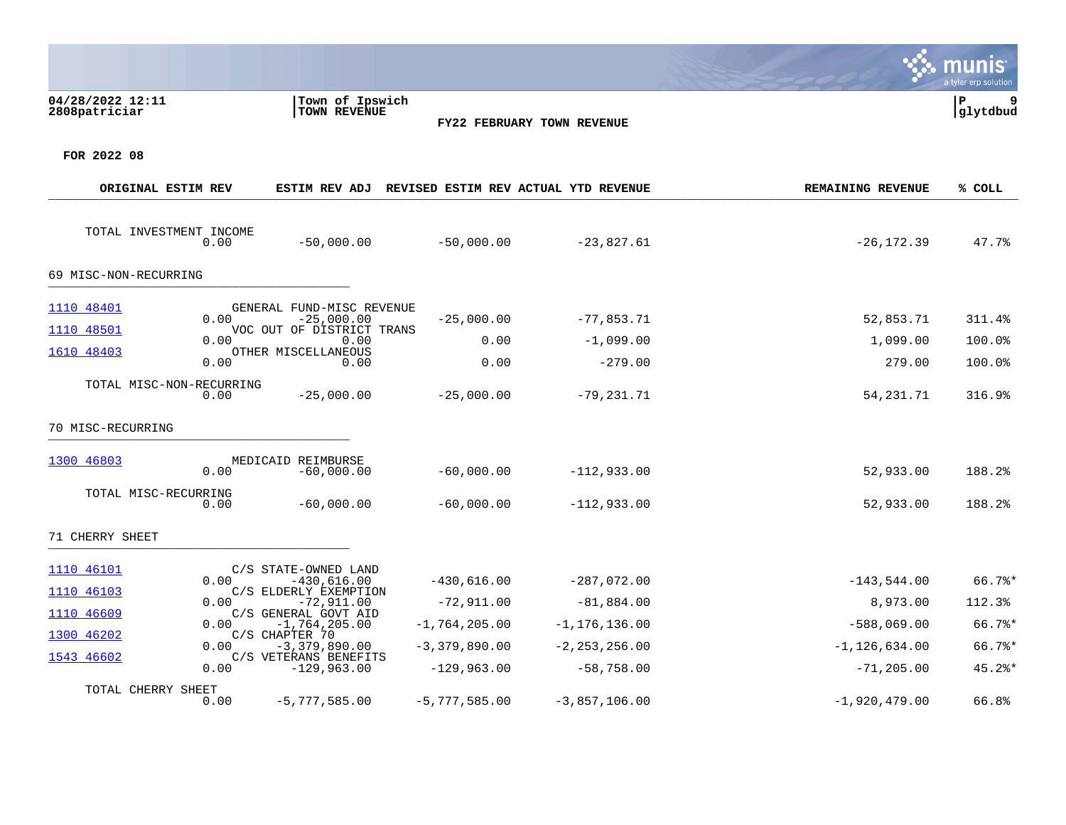|                                   |      |                                                                        |                 |                            |                          | a tyler erp solution |
|-----------------------------------|------|------------------------------------------------------------------------|-----------------|----------------------------|--------------------------|----------------------|
| 04/28/2022 12:11<br>2808patriciar |      | Town of Ipswich<br>TOWN REVENUE                                        |                 | FY22 FEBRUARY TOWN REVENUE |                          | l P<br>glytdbud      |
| FOR 2022 08                       |      |                                                                        |                 |                            |                          |                      |
| ORIGINAL ESTIM REV                |      | ESTIM REV ADJ REVISED ESTIM REV ACTUAL YTD REVENUE                     |                 |                            | <b>REMAINING REVENUE</b> | % COLL               |
| TOTAL INVESTMENT INCOME           | 0.00 | $-50,000.00$                                                           | $-50,000.00$    | $-23,827.61$               | $-26, 172.39$            | 47.7%                |
| 69 MISC-NON-RECURRING             |      |                                                                        |                 |                            |                          |                      |
| 1110 48401<br>1110 48501          | 0.00 | GENERAL FUND-MISC REVENUE<br>$-25,000.00$<br>VOC OUT OF DISTRICT TRANS | $-25,000.00$    | $-77,853.71$               | 52,853.71                | 311.4%               |
| 1610 48403                        | 0.00 | 0.00<br>OTHER MISCELLANEOUS                                            | 0.00            | $-1,099.00$                | 1,099.00                 | 100.0%               |
|                                   | 0.00 | 0.00                                                                   | 0.00            | $-279.00$                  | 279.00                   | 100.0%               |
| TOTAL MISC-NON-RECURRING          | 0.00 | $-25,000.00$                                                           | $-25,000.00$    | $-79,231.71$               | 54, 231. 71              | 316.9%               |
| 70 MISC-RECURRING                 |      |                                                                        |                 |                            |                          |                      |
| 1300 46803                        | 0.00 | MEDICAID REIMBURSE<br>$-60,000.00$                                     | $-60,000.00$    | $-112,933.00$              | 52,933.00                | 188.2%               |
| TOTAL MISC-RECURRING              | 0.00 | $-60,000.00$                                                           | $-60,000.00$    | $-112,933.00$              | 52,933.00                | 188.2%               |
| 71 CHERRY SHEET                   |      |                                                                        |                 |                            |                          |                      |
| 1110 46101                        | 0.00 | C/S STATE-OWNED LAND<br>$-430,616.00$                                  | $-430,616.00$   | $-287,072.00$              | $-143,544.00$            | $66.7$ $*$           |
| 1110 46103                        | 0.00 | C/S ELDERLY EXEMPTION<br>$-72,911.00$                                  | $-72,911.00$    | $-81,884.00$               | 8,973.00                 | 112.3%               |
| 1110 46609                        | 0.00 | C/S GENERAL GOVT AID<br>$-1,764,205.00$                                | $-1,764,205.00$ | $-1, 176, 136.00$          | $-588,069.00$            | $66.7$ %*            |
| 1300 46202<br>1543 46602          | 0.00 | C/S CHAPTER 70<br>$-3,379,890.00$                                      | $-3,379,890.00$ | $-2, 253, 256.00$          | $-1, 126, 634.00$        | $66.7$ $*$           |
|                                   | 0.00 | C/S VETERANS BENEFITS<br>$-129,963.00$                                 | $-129,963.00$   | $-58,758.00$               | $-71, 205.00$            | $45.2$ *             |
| TOTAL CHERRY SHEET                | 0.00 | $-5,777,585.00$                                                        | $-5,777,585.00$ | $-3,857,106.00$            | $-1,920,479.00$          | 66.8%                |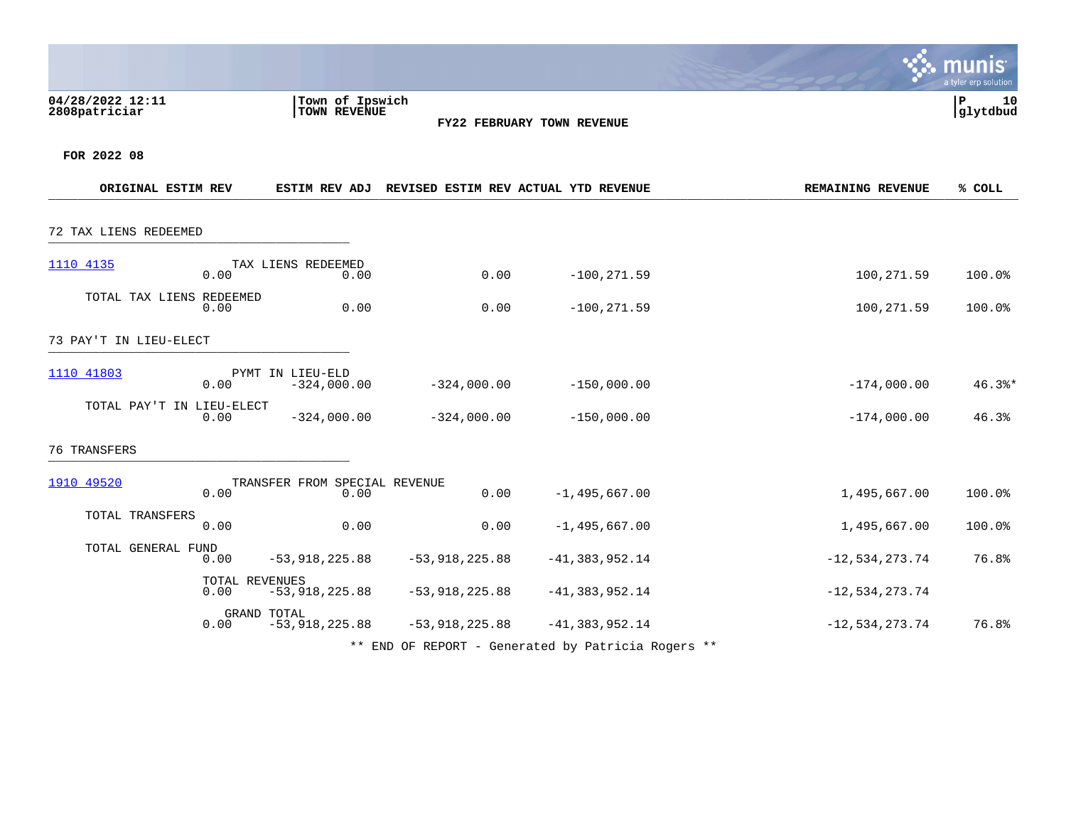|                                   |                        |                                       |                  |                                                    |                          | munis<br>a tyler erp solution |
|-----------------------------------|------------------------|---------------------------------------|------------------|----------------------------------------------------|--------------------------|-------------------------------|
| 04/28/2022 12:11<br>2808patriciar |                        | Town of Ipswich<br>TOWN REVENUE       |                  | FY22 FEBRUARY TOWN REVENUE                         |                          | P<br>10<br>glytdbud           |
| FOR 2022 08                       |                        |                                       |                  |                                                    |                          |                               |
| ORIGINAL ESTIM REV                |                        |                                       |                  | ESTIM REV ADJ REVISED ESTIM REV ACTUAL YTD REVENUE | <b>REMAINING REVENUE</b> | % COLL                        |
| 72 TAX LIENS REDEEMED             |                        |                                       |                  |                                                    |                          |                               |
| 1110 4135                         | 0.00                   | TAX LIENS REDEEMED<br>0.00            | 0.00             | $-100, 271.59$                                     | 100,271.59               | 100.0%                        |
| TOTAL TAX LIENS REDEEMED          | 0.00                   | 0.00                                  | 0.00             | $-100, 271.59$                                     | 100,271.59               | 100.0%                        |
| 73 PAY'T IN LIEU-ELECT            |                        |                                       |                  |                                                    |                          |                               |
| 1110 41803                        | 0.00                   | PYMT IN LIEU-ELD<br>$-324,000.00$     | $-324,000.00$    | $-150,000.00$                                      | $-174,000.00$            | $46.3$ $*$                    |
| TOTAL PAY'T IN LIEU-ELECT         | 0.00                   | $-324,000.00$                         | $-324,000.00$    | $-150,000.00$                                      | $-174,000.00$            | 46.3%                         |
| <b>76 TRANSFERS</b>               |                        |                                       |                  |                                                    |                          |                               |
| 1910 49520                        | 0.00                   | TRANSFER FROM SPECIAL REVENUE<br>0.00 | 0.00             | $-1,495,667.00$                                    | 1,495,667.00             | 100.0%                        |
| TOTAL TRANSFERS                   | 0.00                   | 0.00                                  | 0.00             | $-1, 495, 667.00$                                  | 1,495,667.00             | 100.0%                        |
| TOTAL GENERAL FUND                | 0.00                   | $-53,918,225.88$                      | $-53,918,225.88$ | $-41, 383, 952.14$                                 | $-12, 534, 273.74$       | 76.8%                         |
|                                   | TOTAL REVENUES<br>0.00 | $-53,918,225.88$                      | $-53,918,225.88$ | $-41, 383, 952.14$                                 | $-12,534,273.74$         |                               |
|                                   | GRAND TOTAL<br>0.00    | $-53,918,225.88$                      | $-53,918,225.88$ | $-41, 383, 952.14$                                 | $-12,534,273.74$         | 76.8%                         |
|                                   |                        |                                       |                  | ** END OF REPORT - Generated by Patricia Rogers ** |                          |                               |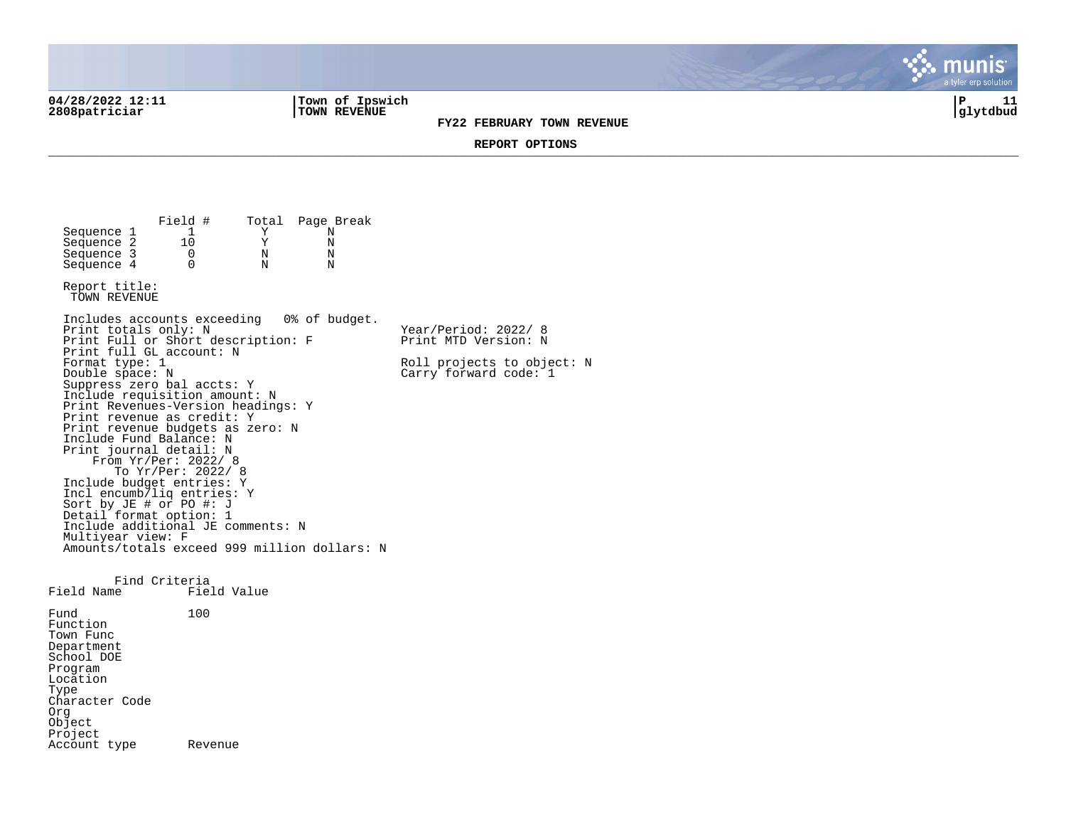04/28/2022 12:11 **| Town of Ipswich** | P 11<br>2808patriciar | TOWN REVENUE | TOWN REVENUE | TOWN REVENUE | TOWN REVENUE | TOWN REVENUE | TOWN REVENUE | TOWN TOWN REVENUE | TOWN REVENUE | TOWN REVENUE | TOWN REVENUE | TOWN RE **2808patriciar |TOWN REVENUE |glytdbud**

**FY22 FEBRUARY TOWN REVENUE**

tyler erp solutio

**REPORT OPTIONS**  \_\_\_\_\_\_\_\_\_\_\_\_\_\_\_\_\_\_\_\_\_\_\_\_\_\_\_\_\_\_\_\_\_\_\_\_\_\_\_\_\_\_\_\_\_\_\_\_\_\_\_\_\_\_\_\_\_\_\_\_\_\_\_\_\_\_\_\_\_\_\_\_\_\_\_\_\_\_\_\_\_\_\_\_\_\_\_\_\_\_\_\_\_\_\_\_\_\_\_\_\_\_\_\_\_\_\_\_\_\_\_\_\_\_\_\_\_\_\_\_\_\_\_\_\_\_\_\_\_\_\_\_

Field # Total Page Break<br>1 Y N Sequence 1 1 Y N<br>Sequence 2 10 Y N Sequence 2 10 Y N<br>Sequence 3 0 N N Sequence 3 0 N N<br>Sequence 4 0 N N  $Sequence 4$ Report title: TOWN REVENUE Includes accounts exceeding 0% of budget. Print totals only: N Year/Period: 2022/ 8 Print Full or Short description: F Print MTD Version: N Print full GL account: N<br>Format type: 1 Format type: 1 Roll projects to object: N<br>
Double space: N<br>
Carry forward code: 1  $Carry$  forward code:  $1$ Suppress zero bal accts: Y Include requisition amount: N Print Revenues-Version headings: Y Print revenue as credit: Y Print revenue budgets as zero: N Include Fund Balance: N Print journal detail: N From Yr/Per: 2022/ 8 To Yr/Per: 2022/ 8 Include budget entries: Y Incl encumb/liq entries: Y Sort by JE # or PO #: J Detail format option: 1 Include additional JE comments: N Multiyear view: F Amounts/totals exceed 999 million dollars: N Find Criteria<br>Field Name Fiel Field Value Fund 100 Function Town Func Department School DOE Program Location Type Character Code Org Object Project Account type Revenue